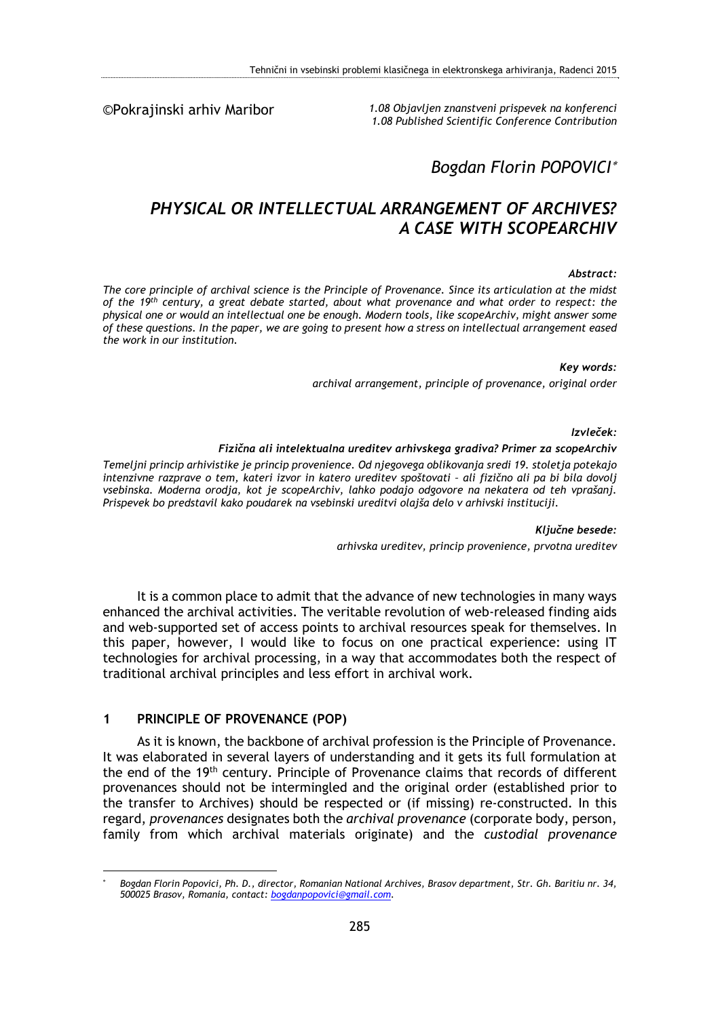©Pokrajinski arhiv Maribor

*1.08 Objavljen znanstveni prispevek na konferenci 1.08 Published Scientific Conference Contribution* 

# *Bogdan Florin POPOVICI*

# *PHYSICAL OR INTELLECTUAL ARRANGEMENT OF ARCHIVES? A CASE WITH SCOPEARCHIV*

#### *Abstract:*

*The core principle of archival science is the Principle of Provenance. Since its articulation at the midst of the 19th century, a great debate started, about what provenance and what order to respect: the physical one or would an intellectual one be enough. Modern tools, like scopeArchiv, might answer some of these questions. In the paper, we are going to present how a stress on intellectual arrangement eased the work in our institution.* 

*Key words:* 

*archival arrangement, principle of provenance, original order* 

*Izvleček:* 

#### *Fizična ali intelektualna ureditev arhivskega gradiva? Primer za scopeArchiv*

*Temeljni princip arhivistike je princip provenience. Od njegovega oblikovanja sredi 19. stoletja potekajo intenzivne razprave o tem, kateri izvor in katero ureditev spoštovati – ali fizično ali pa bi bila dovolj vsebinska. Moderna orodja, kot je scopeArchiv, lahko podajo odgovore na nekatera od teh vprašanj. Prispevek bo predstavil kako poudarek na vsebinski ureditvi olajša delo v arhivski instituciji.* 

> *Ključne besede: arhivska ureditev, princip provenience, prvotna ureditev*

It is a common place to admit that the advance of new technologies in many ways enhanced the archival activities. The veritable revolution of web-released finding aids and web-supported set of access points to archival resources speak for themselves. In this paper, however, I would like to focus on one practical experience: using IT technologies for archival processing, in a way that accommodates both the respect of traditional archival principles and less effort in archival work.

### **1 PRINCIPLE OF PROVENANCE (POP)**

As it is known, the backbone of archival profession is the Principle of Provenance. It was elaborated in several layers of understanding and it gets its full formulation at the end of the 19th century. Principle of Provenance claims that records of different provenances should not be intermingled and the original order (established prior to the transfer to Archives) should be respected or (if missing) re-constructed. In this regard, *provenances* designates both the *archival provenance* (corporate body, person, family from which archival materials originate) and the *custodial provenance*

<sup>1</sup> \*  *Bogdan Florin Popovici, Ph. D., director, Romanian National Archives, Brasov department, Str. Gh. Baritiu nr. 34, 500025 Brasov, Romania, contact: bogdanpopovici@gmail.com.*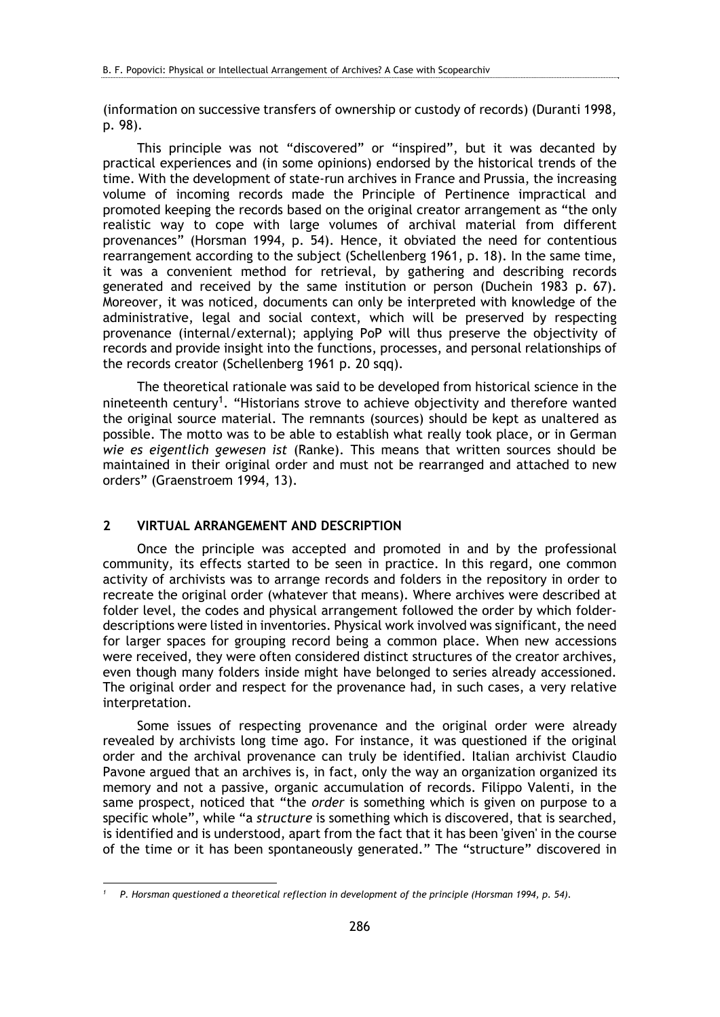(information on successive transfers of ownership or custody of records) (Duranti 1998, p. 98).

This principle was not "discovered" or "inspired", but it was decanted by practical experiences and (in some opinions) endorsed by the historical trends of the time. With the development of state-run archives in France and Prussia, the increasing volume of incoming records made the Principle of Pertinence impractical and promoted keeping the records based on the original creator arrangement as "the only realistic way to cope with large volumes of archival material from different provenances" (Horsman 1994, p. 54). Hence, it obviated the need for contentious rearrangement according to the subject (Schellenberg 1961, p. 18). In the same time, it was a convenient method for retrieval, by gathering and describing records generated and received by the same institution or person (Duchein 1983 p. 67). Moreover, it was noticed, documents can only be interpreted with knowledge of the administrative, legal and social context, which will be preserved by respecting provenance (internal/external); applying PoP will thus preserve the objectivity of records and provide insight into the functions, processes, and personal relationships of the records creator (Schellenberg 1961 p. 20 sqq).

The theoretical rationale was said to be developed from historical science in the nineteenth century<sup>1</sup>. "Historians strove to achieve objectivity and therefore wanted the original source material. The remnants (sources) should be kept as unaltered as possible. The motto was to be able to establish what really took place, or in German *wie es eigentlich gewesen ist* (Ranke). This means that written sources should be maintained in their original order and must not be rearranged and attached to new orders" (Graenstroem 1994, 13).

## **2 VIRTUAL ARRANGEMENT AND DESCRIPTION**

Once the principle was accepted and promoted in and by the professional community, its effects started to be seen in practice. In this regard, one common activity of archivists was to arrange records and folders in the repository in order to recreate the original order (whatever that means). Where archives were described at folder level, the codes and physical arrangement followed the order by which folderdescriptions were listed in inventories. Physical work involved was significant, the need for larger spaces for grouping record being a common place. When new accessions were received, they were often considered distinct structures of the creator archives, even though many folders inside might have belonged to series already accessioned. The original order and respect for the provenance had, in such cases, a very relative interpretation.

Some issues of respecting provenance and the original order were already revealed by archivists long time ago. For instance, it was questioned if the original order and the archival provenance can truly be identified. Italian archivist Claudio Pavone argued that an archives is, in fact, only the way an organization organized its memory and not a passive, organic accumulation of records. Filippo Valenti, in the same prospect, noticed that "the *order* is something which is given on purpose to a specific whole", while "a *structure* is something which is discovered, that is searched, is identified and is understood, apart from the fact that it has been 'given' in the course of the time or it has been spontaneously generated." The "structure" discovered in

<sup>1</sup> *1 P. Horsman questioned a theoretical reflection in development of the principle (Horsman 1994, p. 54).*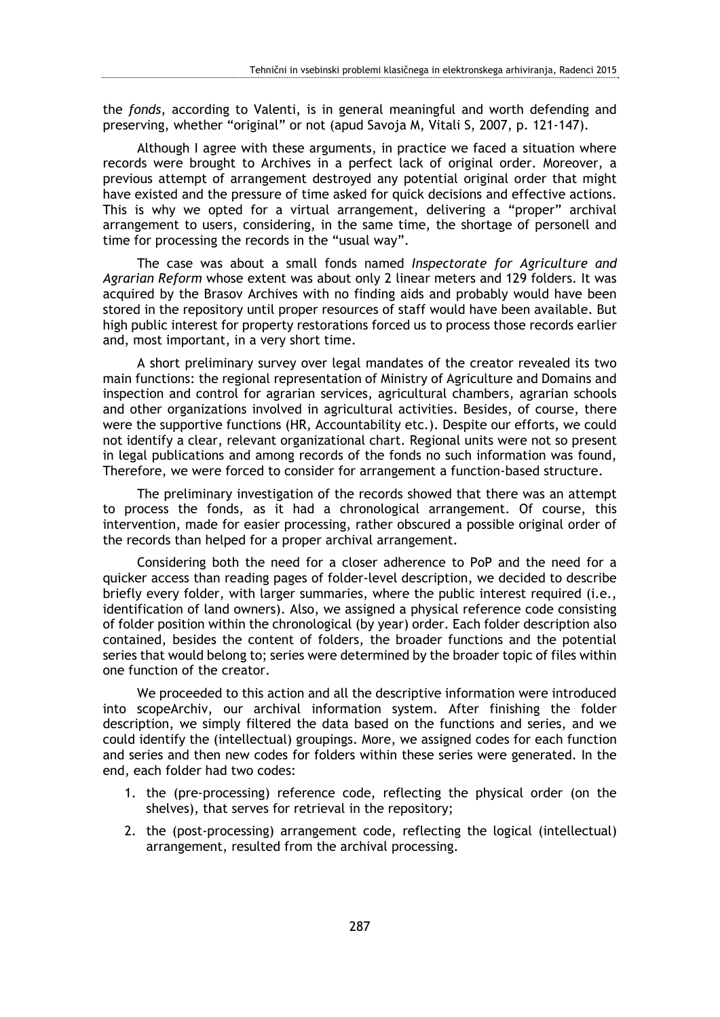the *fonds*, according to Valenti, is in general meaningful and worth defending and preserving, whether "original" or not (apud Savoja M, Vitali S, 2007, p. 121-147).

Although I agree with these arguments, in practice we faced a situation where records were brought to Archives in a perfect lack of original order. Moreover, a previous attempt of arrangement destroyed any potential original order that might have existed and the pressure of time asked for quick decisions and effective actions. This is why we opted for a virtual arrangement, delivering a "proper" archival arrangement to users, considering, in the same time, the shortage of personell and time for processing the records in the "usual way".

The case was about a small fonds named *Inspectorate for Agriculture and Agrarian Reform* whose extent was about only 2 linear meters and 129 folders. It was acquired by the Brasov Archives with no finding aids and probably would have been stored in the repository until proper resources of staff would have been available. But high public interest for property restorations forced us to process those records earlier and, most important, in a very short time.

A short preliminary survey over legal mandates of the creator revealed its two main functions: the regional representation of Ministry of Agriculture and Domains and inspection and control for agrarian services, agricultural chambers, agrarian schools and other organizations involved in agricultural activities. Besides, of course, there were the supportive functions (HR, Accountability etc.). Despite our efforts, we could not identify a clear, relevant organizational chart. Regional units were not so present in legal publications and among records of the fonds no such information was found, Therefore, we were forced to consider for arrangement a function-based structure.

The preliminary investigation of the records showed that there was an attempt to process the fonds, as it had a chronological arrangement. Of course, this intervention, made for easier processing, rather obscured a possible original order of the records than helped for a proper archival arrangement.

Considering both the need for a closer adherence to PoP and the need for a quicker access than reading pages of folder-level description, we decided to describe briefly every folder, with larger summaries, where the public interest required (i.e., identification of land owners). Also, we assigned a physical reference code consisting of folder position within the chronological (by year) order. Each folder description also contained, besides the content of folders, the broader functions and the potential series that would belong to; series were determined by the broader topic of files within one function of the creator.

We proceeded to this action and all the descriptive information were introduced into scopeArchiv, our archival information system. After finishing the folder description, we simply filtered the data based on the functions and series, and we could identify the (intellectual) groupings. More, we assigned codes for each function and series and then new codes for folders within these series were generated. In the end, each folder had two codes:

- 1. the (pre-processing) reference code, reflecting the physical order (on the shelves), that serves for retrieval in the repository;
- 2. the (post-processing) arrangement code, reflecting the logical (intellectual) arrangement, resulted from the archival processing.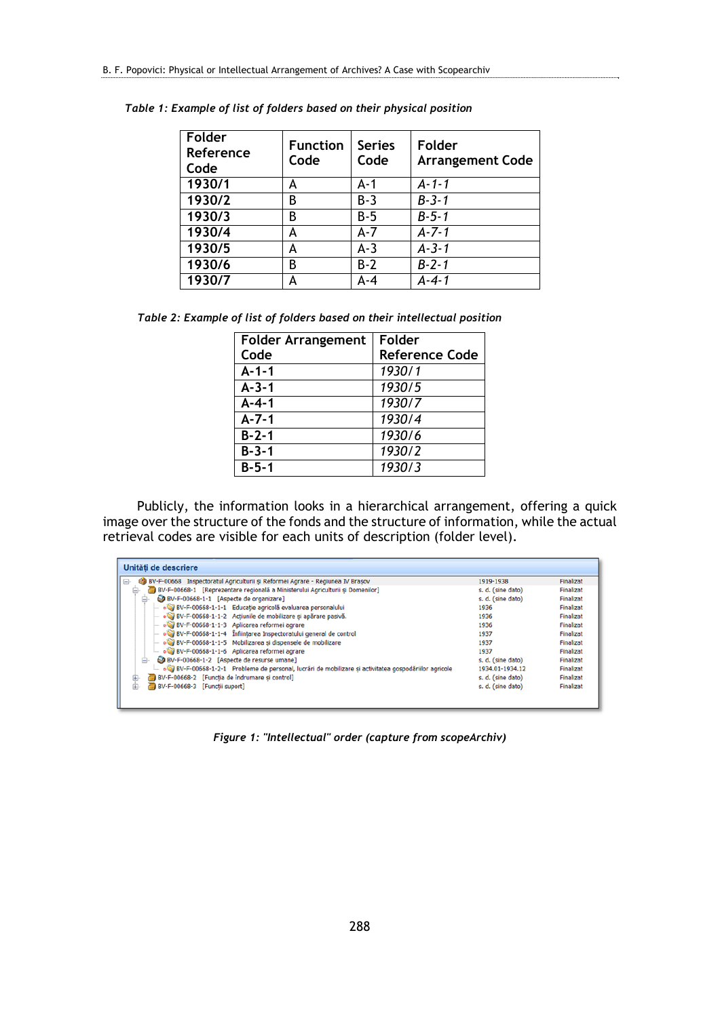| Folder<br>Reference<br>Code | <b>Function</b><br>Code | <b>Series</b><br>Code | Folder<br><b>Arrangement Code</b> |
|-----------------------------|-------------------------|-----------------------|-----------------------------------|
| 1930/1                      | А                       | $A - 1$               | $A - 1 - 1$                       |
| 1930/2                      | B                       | $B-3$                 | $B - 3 - 1$                       |
| 1930/3                      | B                       | B-5                   | $B - 5 - 1$                       |
| 1930/4                      | А                       | $A - 7$               | $A - 7 - 1$                       |
| 1930/5                      | А                       | $A-3$                 | $A - 3 - 1$                       |
| 1930/6                      | В                       | $B-2$                 | $B - 2 - 1$                       |
| 1930/7                      |                         | $A - 4$               | $A - 4 - 1$                       |

*Table 1: Example of list of folders based on their physical position* 

| Table 2: Example of list of folders based on their intellectual position |  |  |  |  |  |
|--------------------------------------------------------------------------|--|--|--|--|--|
|--------------------------------------------------------------------------|--|--|--|--|--|

| <b>Folder Arrangement</b> | Folder                |
|---------------------------|-----------------------|
| Code                      | <b>Reference Code</b> |
| $A - 1 - 1$               | 1930/1                |
| $A - 3 - 1$               | 1930/5                |
| $A - 4 - 1$               | 1930/7                |
| $A - 7 - 1$               | 1930/4                |
| $B - 2 - 1$               | 1930/6                |
| $B - 3 - 1$               | 1930/2                |
| $B - 5 - 1$               | 1930/3                |

Publicly, the information looks in a hierarchical arrangement, offering a quick image over the structure of the fonds and the structure of information, while the actual retrieval codes are visible for each units of description (folder level).

| Unităti de descriere                                                                                |                   |           |
|-----------------------------------------------------------------------------------------------------|-------------------|-----------|
| (8) BV-F-00668 Inspectoratul Agriculturii și Reformei Agrare - Regiunea IV Brasov<br>$\blacksquare$ | 1919-1938         | Finalizat |
| BV-F-00668-1 [Reprezentare regională a Ministerului Agriculturii si Domenilor]                      | s. d. (sine dato) | Finalizat |
| BV-F-00668-1-1 [Aspecte de organizare]<br>ė.                                                        | s. d. (sine dato) | Finalizat |
| BV-F-00668-1-1-1 Educație agricolă evaluarea personalului                                           | 1936              | Finalizat |
| BV-F-00668-1-1-2 Actiunile de mobilizare și apărare pasivă.                                         | 1936              | Finalizat |
| BV-F-00668-1-1-3 Aplicarea reformei agrare                                                          | 1936              | Finalizat |
| BV-F-00668-1-1-4 Infiintarea Inspectoratului general de control                                     | 1937              | Finalizat |
| BV-F-00668-1-1-5 Mobilizarea si dispensele de mobilizare                                            | 1937              | Finalizat |
| BV-F-00668-1-1-6 Aplicarea reformei agrare                                                          | 1937              | Finalizat |
| BV-F-00668-1-2 [Aspecte de resurse umane]<br>ė-                                                     | s. d. (sine dato) | Finalizat |
| BV-F-00668-1-2-1 Probleme de personal, lucrări de mobilizare și activitatea gospodăriilor agricole  | 1934.01-1934.12   | Finalizat |
| BV-F-00668-2 [Functia de îndrumare și control]                                                      | s. d. (sine dato) | Finalizat |
| BV-F-00668-3 [Functii suport]                                                                       | s. d. (sine dato) | Finalizat |
|                                                                                                     |                   |           |

*Figure 1: "Intellectual" order (capture from scopeArchiv)*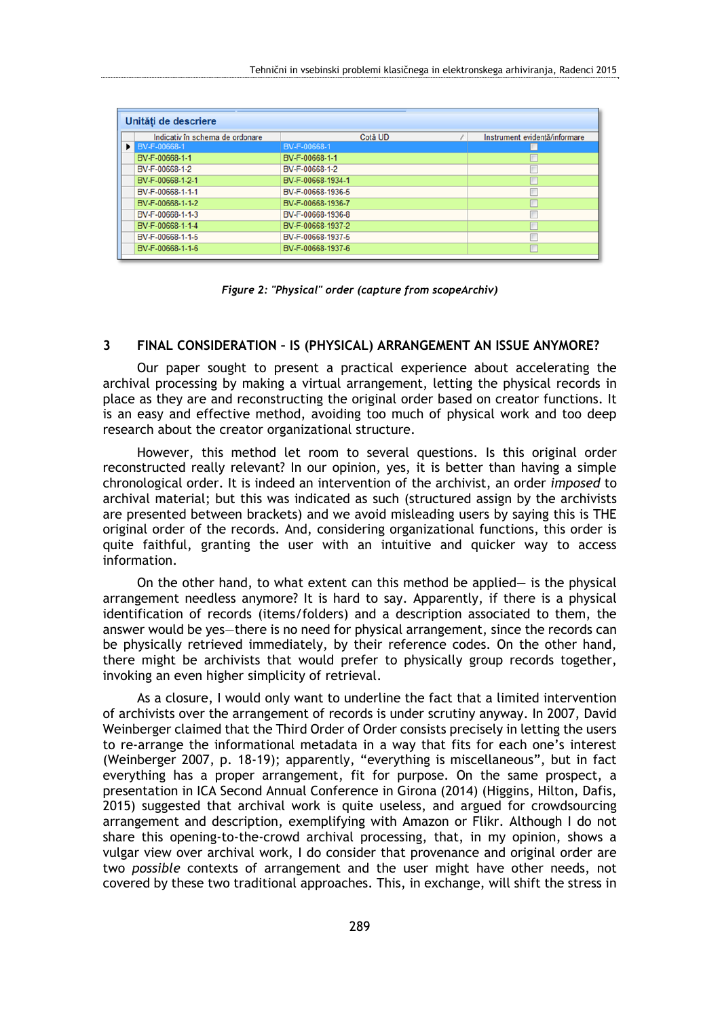| Unităti de descriere            |                   |                               |  |  |  |  |
|---------------------------------|-------------------|-------------------------------|--|--|--|--|
| Indicativ în schema de ordonare | Cotă UD           | Instrument evidentă/informare |  |  |  |  |
| <b>BV-F-00668-1</b>             | BV-F-00668-1      |                               |  |  |  |  |
| BV-F-00668-1-1                  | BV-F-00668-1-1    |                               |  |  |  |  |
| BV-F-00668-1-2                  | BV-F-00668-1-2    |                               |  |  |  |  |
| BV-F-00668-1-2-1                | BV-F-00668-1934-1 |                               |  |  |  |  |
| BV-F-00668-1-1-1                | BV-F-00668-1936-5 | m                             |  |  |  |  |
| BV-F-00668-1-1-2                | BV-F-00668-1936-7 |                               |  |  |  |  |
| BV-F-00668-1-1-3                | BV-F-00668-1936-8 |                               |  |  |  |  |
| BV-F-00668-1-1-4                | BV-F-00668-1937-2 | π                             |  |  |  |  |
| BV-F-00668-1-1-5                | BV-F-00668-1937-5 |                               |  |  |  |  |
| BV-F-00668-1-1-6                | BV-F-00668-1937-6 |                               |  |  |  |  |



### **3 FINAL CONSIDERATION – IS (PHYSICAL) ARRANGEMENT AN ISSUE ANYMORE?**

Our paper sought to present a practical experience about accelerating the archival processing by making a virtual arrangement, letting the physical records in place as they are and reconstructing the original order based on creator functions. It is an easy and effective method, avoiding too much of physical work and too deep research about the creator organizational structure.

However, this method let room to several questions. Is this original order reconstructed really relevant? In our opinion, yes, it is better than having a simple chronological order. It is indeed an intervention of the archivist, an order *imposed* to archival material; but this was indicated as such (structured assign by the archivists are presented between brackets) and we avoid misleading users by saying this is THE original order of the records. And, considering organizational functions, this order is quite faithful, granting the user with an intuitive and quicker way to access information.

On the other hand, to what extent can this method be applied— is the physical arrangement needless anymore? It is hard to say. Apparently, if there is a physical identification of records (items/folders) and a description associated to them, the answer would be yes—there is no need for physical arrangement, since the records can be physically retrieved immediately, by their reference codes. On the other hand, there might be archivists that would prefer to physically group records together, invoking an even higher simplicity of retrieval.

As a closure, I would only want to underline the fact that a limited intervention of archivists over the arrangement of records is under scrutiny anyway. In 2007, David Weinberger claimed that the Third Order of Order consists precisely in letting the users to re-arrange the informational metadata in a way that fits for each one's interest (Weinberger 2007, p. 18-19); apparently, "everything is miscellaneous", but in fact everything has a proper arrangement, fit for purpose. On the same prospect, a presentation in ICA Second Annual Conference in Girona (2014) (Higgins, Hilton, Dafis, 2015) suggested that archival work is quite useless, and argued for crowdsourcing arrangement and description, exemplifying with Amazon or Flikr. Although I do not share this opening-to-the-crowd archival processing, that, in my opinion, shows a vulgar view over archival work, I do consider that provenance and original order are two *possible* contexts of arrangement and the user might have other needs, not covered by these two traditional approaches. This, in exchange, will shift the stress in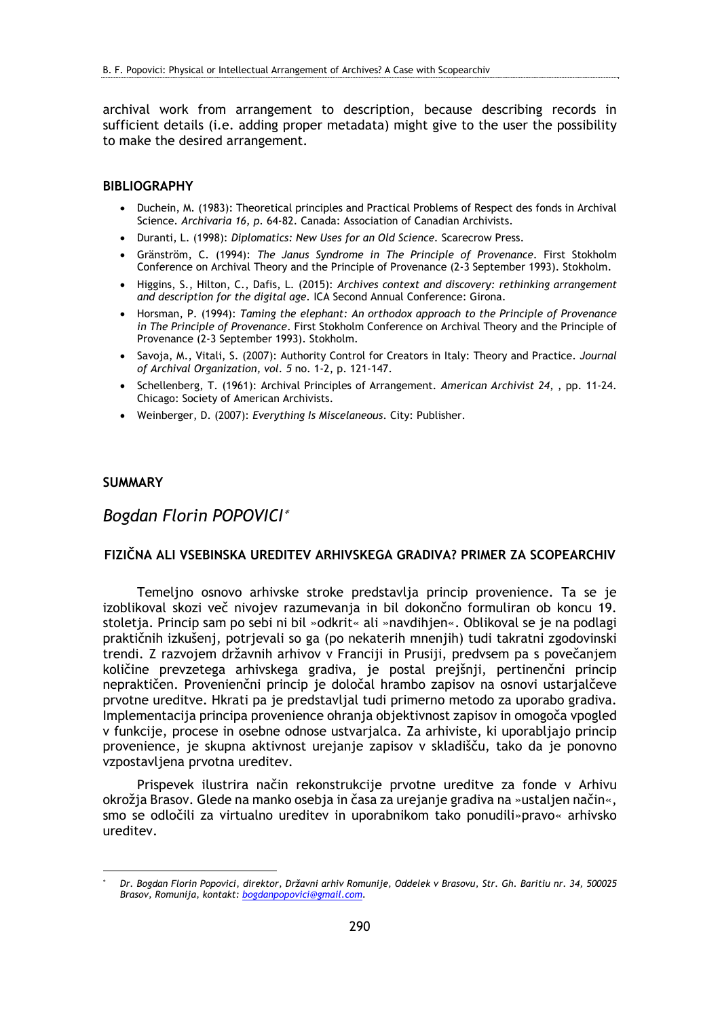archival work from arrangement to description, because describing records in sufficient details (i.e. adding proper metadata) might give to the user the possibility to make the desired arrangement.

#### **BIBLIOGRAPHY**

- Duchein, M. (1983): Theoretical principles and Practical Problems of Respect des fonds in Archival Science. *Archivaria 16, p.* 64-82. Canada: Association of Canadian Archivists.
- Duranti, L. (1998): *Diplomatics: New Uses for an Old Science.* Scarecrow Press.
- Gränström, C. (1994): *The Janus Syndrome in The Principle of Provenance*. First Stokholm Conference on Archival Theory and the Principle of Provenance (2-3 September 1993). Stokholm.
- Higgins, S., Hilton, C., Dafis, L. (2015): *Archives context and discovery: rethinking arrangement and description for the digital age.* ICA Second Annual Conference: Girona.
- Horsman, P. (1994): *Taming the elephant: An orthodox approach to the Principle of Provenance in The Principle of Provenance*. First Stokholm Conference on Archival Theory and the Principle of Provenance (2-3 September 1993). Stokholm.
- Savoja, M., Vitali, S. (2007): Authority Control for Creators in Italy: Theory and Practice. *Journal of Archival Organization, vol. 5* no. 1-2, p. 121-147.
- Schellenberg, T. (1961): Archival Principles of Arrangement. *American Archivist 24*, , pp. 11-24. Chicago: Society of American Archivists.
- Weinberger, D. (2007): *Everything Is Miscelaneous*. City: Publisher.

## **SUMMARY**

1

# *Bogdan Florin POPOVICI*

### **FIZIČNA ALI VSEBINSKA UREDITEV ARHIVSKEGA GRADIVA? PRIMER ZA SCOPEARCHIV**

Temeljno osnovo arhivske stroke predstavlja princip provenience. Ta se je izoblikoval skozi več nivojev razumevanja in bil dokončno formuliran ob koncu 19. stoletja. Princip sam po sebi ni bil »odkrit« ali »navdihjen«. Oblikoval se je na podlagi praktičnih izkušenj, potrjevali so ga (po nekaterih mnenjih) tudi takratni zgodovinski trendi. Z razvojem državnih arhivov v Franciji in Prusiji, predvsem pa s povečanjem količine prevzetega arhivskega gradiva, je postal prejšnji, pertinenčni princip nepraktičen. Provenienčni princip je določal hrambo zapisov na osnovi ustarjalčeve prvotne ureditve. Hkrati pa je predstavljal tudi primerno metodo za uporabo gradiva. Implementacija principa provenience ohranja objektivnost zapisov in omogoča vpogled v funkcije, procese in osebne odnose ustvarjalca. Za arhiviste, ki uporabljajo princip provenience, je skupna aktivnost urejanje zapisov v skladišču, tako da je ponovno vzpostavljena prvotna ureditev.

Prispevek ilustrira način rekonstrukcije prvotne ureditve za fonde v Arhivu okrožja Brasov. Glede na manko osebja in časa za urejanje gradiva na »ustaljen način«, smo se odločili za virtualno ureditev in uporabnikom tako ponudili»pravo« arhivsko ureditev.

<sup>\*</sup>  *Dr. Bogdan Florin Popovici, direktor, Državni arhiv Romunije, Oddelek v Brasovu, Str. Gh. Baritiu nr. 34, 500025 Brasov, Romunija, kontakt: bogdanpopovici@gmail.com.*